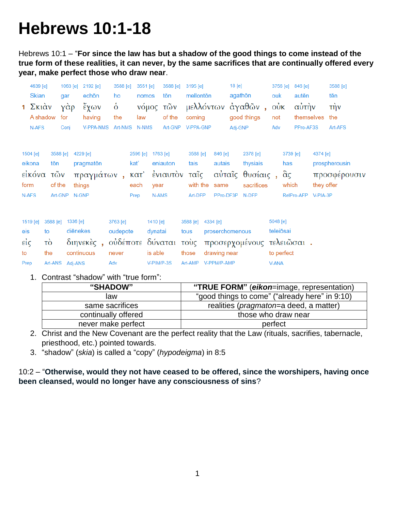# **Hebrews 10:1-18**

Hebrews 10:1 – "**For since the law has but a shadow of the good things to come instead of the true form of these realities, it can never, by the same sacrifices that are continually offered every year, make perfect those who draw near**.

|                             | 4639 [e]<br><b>Skian</b><br>1 $\Sigma$ <sub>Kl</sub> $\alpha$ <sub>V</sub><br>A shadow<br>N-AFS |                                                | 1063 [e]<br>qar<br>γὰρ<br>for<br>Conj |                                                 | 2192 [e]<br>echōn<br>ἔχων<br>having<br><b>V-PPA-NMS</b> | 3588 [e]<br>ho<br>$\dot{\delta}$<br>the<br>Art-NMS       | 3551 [e]<br>nomos<br>law<br>N-NMS       |                                              | 3588 [e]<br>tōn<br>νόμος τῶν<br>of the<br>Art-GNP | $3195$ [e]<br>mellontōn<br>coming<br><b>V-PPA-GNP</b> |          |                                                | 18 [e]<br>agathōn<br>Adj-GNP | μελλόντων άγαθῶν,<br>good things                               | ouk<br>$\dot{\text{ow}}$<br>not<br>Adv | 3756 [e]                               | 846 [e]<br>autēn<br>αυτήν<br>themselves<br>PPro-AF3S |                                    | 3588 [e]<br>tēn<br>τήν<br>the<br>Art-AFS |
|-----------------------------|-------------------------------------------------------------------------------------------------|------------------------------------------------|---------------------------------------|-------------------------------------------------|---------------------------------------------------------|----------------------------------------------------------|-----------------------------------------|----------------------------------------------|---------------------------------------------------|-------------------------------------------------------|----------|------------------------------------------------|------------------------------|----------------------------------------------------------------|----------------------------------------|----------------------------------------|------------------------------------------------------|------------------------------------|------------------------------------------|
| form<br>N-AFS               | 1504 [e]<br>eikona<br>εἰκόνα                                                                    | tōn<br>τῶν<br>of the                           | 3588 [e]<br>Art-GNP                   | 4229 [e]<br>pragmaton<br>things<br>N-GNP        | πραγμάτων,                                              |                                                          | 2596 [e]<br>kať<br>κατ'<br>each<br>Prep | 1763 [e]<br>year<br>N-AMS                    | eniauton<br>ένιαυτόν                              | 3588 [e]<br>tais<br>ταΐς<br>with the<br>Art-DFP       |          | 846 [e]<br>autais<br>same<br>PPro-DF3P         |                              | 2378 [e]<br>thysiais<br>αύταΐς θυσίαις,<br>sacrifices<br>N-DFP |                                        | 3739 [e]<br>has<br>$\alpha$ ς<br>which | RelPro-AFP                                           | 4374 [e]<br>they offer<br>V-PIA-3P | prospherousin<br>προσφέρουσιν            |
| eis<br>$ε$ ίς<br>to<br>Prep | 1519 [e]                                                                                        | 3588 [e]<br>to<br>τò<br>the<br>Art-ANS Adj-ANS |                                       | 1336 [e]<br>diēnekes<br>διηνεκές,<br>continuous |                                                         | 3763 [e]<br>oudepote<br>οὐδέποτε δύναται<br>never<br>Adv |                                         | 1410 [e]<br>dynatai<br>is able<br>V-PIM/P-3S |                                                   | 3588 [e]<br>tous<br>τοὺς<br>those<br>Art-AMP          | 4334 [e] | proserchomenous<br>drawing near<br>V-PPM/P-AMP |                              | προσερχομένους τελειῶσαι.                                      | 5048 [e]<br>V-ANA                      | teleiōsai<br>to perfect                |                                                      |                                    |                                          |

1. Contrast "shadow" with "true form":

| "SHADOW"            | "TRUE FORM" (eikon=image, representation)       |
|---------------------|-------------------------------------------------|
| law                 | "good things to come" ("already here" in 9:10)  |
| same sacrifices     | realities ( <i>pragmaton</i> =a deed, a matter) |
| continually offered | those who draw near                             |
| never make perfect  | perfect                                         |

- 2. Christ and the New Covenant are the perfect reality that the Law (rituals, sacrifies, tabernacle, priesthood, etc.) pointed towards.
- 3. "shadow" (*skia*) is called a "copy" (*hypodeigma*) in 8:5

10:2 – "**Otherwise, would they not have ceased to be offered, since the worshipers, having once been cleansed, would no longer have any consciousness of sins**?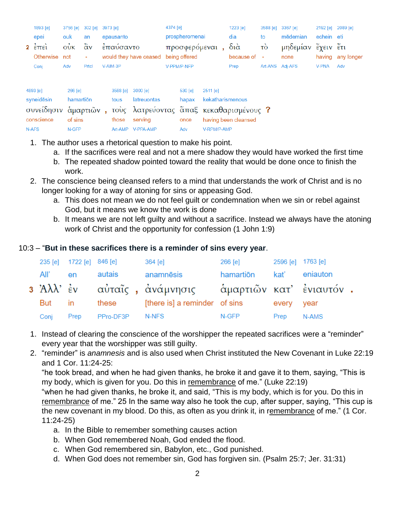| 1893 [e]             | 3756 [e]   | 302 [e]           | 3973 [e] |           |                                        | 4374 [e] |                |                  | $1223$ [e]           | 3588 [e] 3367 [e] |                    | 2192 [e] 2089 [e] |            |
|----------------------|------------|-------------------|----------|-----------|----------------------------------------|----------|----------------|------------------|----------------------|-------------------|--------------------|-------------------|------------|
| epei                 | ouk        | an                |          | epausanto |                                        |          | prospheromenai |                  | dia                  | to                | mēdemian           | echein eti        |            |
| $2 \div \vec{r}$     | <b>OUK</b> | $\ddot{\alpha}$ v |          | έπαυσαντο |                                        |          |                | προσφερόμεναι,   | $\delta$ ιά          | τò                | μηδεμίαν έχειν έτι |                   |            |
| Otherwise not        |            | ٠                 |          |           | would they have ceased                 |          | being offered  |                  | because of           | ÷                 | none               | having            | any longer |
| Conj                 | Adv        | Prtcl             |          | V-AIM-3P  |                                        |          | V-PPM/P-NFP    |                  | Prep                 | Art-ANS Adj-AFS   |                    | <b>V-PNA</b>      | Adv        |
|                      |            |                   |          |           |                                        |          |                |                  |                      |                   |                    |                   |            |
| 4893 [e]             | $266$ [e]  |                   |          | 3588 [e]  | 3000 [e]                               |          | $530$ [e]      | $2511$ [e]       |                      |                   |                    |                   |            |
| syneidesin           | hamartion  |                   |          | tous      | latreuontas                            |          | hapax          | kekatharismenous |                      |                   |                    |                   |            |
| συνείδησιν άμαρτιῶν, |            |                   |          |           | τους λατρεύοντας άπαξ κεκαθαρισμένους? |          |                |                  |                      |                   |                    |                   |            |
| conscience           | of sins    |                   |          | those     | serving                                |          | once           |                  | having been cleansed |                   |                    |                   |            |
|                      |            |                   |          |           |                                        |          |                |                  |                      |                   |                    |                   |            |

Adv

1. The author uses a rhetorical question to make his point.

Art-AMP V-PPA-AMP

N-AFS

N-GFP

a. If the sacrifices were real and not a mere shadow they would have worked the first time

V-RPM/P-AMP

- b. The repeated shadow pointed toward the reality that would be done once to finish the work.
- 2. The conscience being cleansed refers to a mind that understands the work of Christ and is no longer looking for a way of atoning for sins or appeasing God.
	- a. This does not mean we do not feel guilt or condemnation when we sin or rebel against God, but it means we know the work is done
	- b. It means we are not left guilty and without a sacrifice. Instead we always have the atoning work of Christ and the opportunity for confession (1 John 1:9)

## 10:3 – "**But in these sacrifices there is a reminder of sins every year**.

|         | 235 [e] 1722 [e] 846 [e] |           | $364$ [e]                                                 | 266 [e]   | 2596 [e] 1763 [e] |               |  |
|---------|--------------------------|-----------|-----------------------------------------------------------|-----------|-------------------|---------------|--|
| All' en |                          | autais    | anamnēsis                                                 | hamartiōn |                   | kat' eniauton |  |
|         |                          |           | 3 Άλλ' ἐν ω αὐταῖς , ἀνάμνησις ω ἁμαρτιῶν κατ' ἐνιαυτόν . |           |                   |               |  |
| But in  |                          | these     | [there is] a reminder of sins                             |           | every year        |               |  |
| Conj    | Prep                     | PPro-DF3P | N-NFS                                                     | N-GFP     | Prep              | N-AMS         |  |

- 1. Instead of clearing the conscience of the worshipper the repeated sacrifices were a "reminder" every year that the worshipper was still guilty.
- 2. "reminder" is *anamnesis* and is also used when Christ instituted the New Covenant in Luke 22:19 and 1 Cor. 11:24-25:

"he took bread, and when he had given thanks, he broke it and gave it to them, saying, "This is my body, which is given for you. Do this in remembrance of me." (Luke 22:19) "when he had given thanks, he broke it, and said, "This is my body, which is for you. Do this in remembrance of me." 25 In the same way also he took the cup, after supper, saying, "This cup is the new covenant in my blood. Do this, as often as you drink it, in remembrance of me." (1 Cor. 11:24-25)

- a. In the Bible to remember something causes action
- b. When God remembered Noah, God ended the flood.
- c. When God remembered sin, Babylon, etc., God punished.
- d. When God does not remember sin, God has forgiven sin. (Psalm 25:7; Jer. 31:31)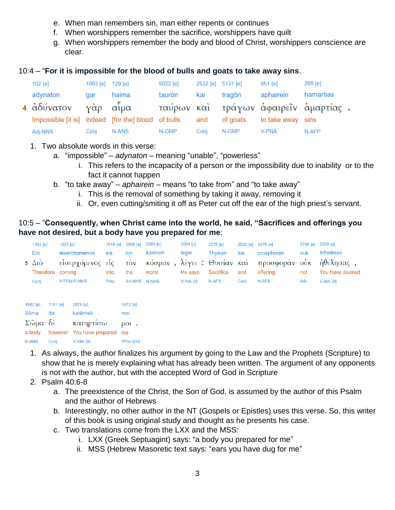- e. When man remembers sin, man either repents or continues
- f. When worshippers remember the sacrifice, worshippers have quilt
- g. When worshippers remember the body and blood of Christ, worshippers conscience are clear.

#### 10:4 – "**For it is impossible for the blood of bulls and goats to take away sins**.

| $102$ [e]                                              | 1063 [e] $129$ [e] |       | 5022 [e] | 2532 [e] 5131 [e] |        | 851 [e]                    | 266 [e]                              |  |
|--------------------------------------------------------|--------------------|-------|----------|-------------------|--------|----------------------------|--------------------------------------|--|
| adynaton                                               | gar                | haima | taurōn   | kai               | tragōn | aphairein                  | hamartias                            |  |
| 4 άδύνατον γάρ αίμα                                    |                    |       |          |                   |        |                            | ταύρων καὶ τράγων ἀφαιρεῖν ἁμαρτίας. |  |
| Impossible [it is] indeed [for the] blood of bulls and |                    |       |          |                   |        | of goats to take away sins |                                      |  |
| Adj-NNS                                                | Conj               | N-ANS | N-GMP    | Conj              | N-GMP  | V-PNA                      | N-AFP                                |  |

- 1. Two absolute words in this verse:
	- a. "impossible" *adynaton* meaning "unable", "powerless"
		- i. This refers to the incapacity of a person or the impossibility due to inability or to the fact it cannot happen
	- b. "to take away" *aphairein* means "to take from" and "to take away"
		- i. This is the removal of something by taking it away, removing it
		- ii. Or, even cutting/smiting it off as Peter cut off the ear of the high priest's servant.

### 10:5 – "**Consequently, when Christ came into the world, he said, "Sacrifices and offerings you have not desired, but a body have you prepared for me**;

| 1352 [e]               | $1525$ [e]       |      | 1519 [e] 3588 [e] 2889 [e] |        | 3004 [e]   | 2378 [e]       | 2532 [e] 4376 [e] |                                         | 3756 [e] 2309 [e] |                  |
|------------------------|------------------|------|----------------------------|--------|------------|----------------|-------------------|-----------------------------------------|-------------------|------------------|
| Dio                    | eiserchomenos    | eis  | ton                        | kosmon | legei      | <b>Thysian</b> | kai               | prosphoran                              | ouk               | ēthelēsas        |
| 5 $\Delta i\grave{o}$  | είσερχόμενος είς |      | τὸν                        |        |            |                |                   | κόσμον, λέγει: Θυσίαν καὶ προσφορὰν οὐκ |                   | ήθέλησας,        |
| Therefore coming       |                  | into | the                        | world  | He says    | Sacrifice      | and               | offering                                | not               | You have desired |
| Conj                   | V-PPM/P-NMS      | Prep | Art-AMS N-AMS              |        | $V-PIA-3S$ | N-AFS          | Coni              | N-AFS                                   | Adv               | $V-AIA-2S$       |
|                        |                  |      |                            |        |            |                |                   |                                         |                   |                  |
|                        |                  |      |                            |        |            |                |                   |                                         |                   |                  |
| 1161 $[e]$<br>4983 [e] | $2675$ [e]       |      | 1473 [e]                   |        |            |                |                   |                                         |                   |                  |

| Sōma            | de   | katērtisō                           | moi       |
|-----------------|------|-------------------------------------|-----------|
| $\Sigma$ ῶμα δὲ |      | κατηρτίσω                           | $\mu$ ot. |
|                 |      | a body however You have prepared me |           |
| N-ANS           | Conj | V-AIM-2S                            | PPro-D1S  |

- 1. As always, the author finalizes his argument by going to the Law and the Prophets (Scripture) to show that he is merely explaining what has already been written. The argument of any opponents is not with the author, but with the accepted Word of God in Scripture
- 2. Psalm 40:6-8
	- a. The preexistence of the Christ, the Son of God, is assumed by the author of this Psalm and the author of Hebrews
	- b. Interestingly, no other author in the NT (Gospels or Epistles) uses this verse. So, this writer of this book is using original study and thought as he presents his case.
	- c. Two translations come from the LXX and the MSS:
		- i. LXX (Greek Septuagint) says: "a body you prepared for me"
		- ii. MSS (Hebrew Masoretic text says: "ears you have dug for me"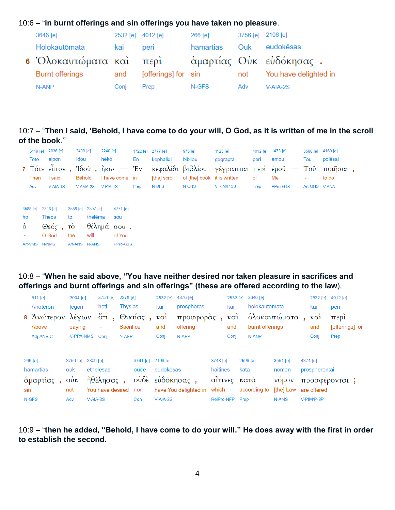# 10:6 – "**in burnt offerings and sin offerings you have taken no pleasure**.

| 3646 [e]                | 2532 [e] 4012 [e] |                     | 266 [e]   | 3756 [e] 2106 [e] |                         |
|-------------------------|-------------------|---------------------|-----------|-------------------|-------------------------|
| Holokautōmata           | kai               | peri                | hamartias | Ouk               | eudokēsas               |
| 6 Όλοκαυτώματα καὶ περὶ |                   |                     |           |                   | άμαρτίας Οὐκ εὐδόκησας. |
| <b>Burnt offerings</b>  | and               | [offerings] for sin |           | not               | You have delighted in   |
| N-ANP                   | Coni              | Prep                | N-GFS     | Adv               | $V-AIA-2S$              |

10:7 – "**Then I said, 'Behold, I have come to do your will, O God, as it is written of me in the scroll of the book**.'"

|                |      | 5119 [e] 2036 [e]            | 2400 [e]              |          | 2240 [e]   |                |      | 1722 [e] 2777 [e] | 975 [e]                     | 1125 [e]                  |      | 4012 [e] 1473 [e] | 3588 [e] 4160 [e] |             |
|----------------|------|------------------------------|-----------------------|----------|------------|----------------|------|-------------------|-----------------------------|---------------------------|------|-------------------|-------------------|-------------|
|                | Tote | eipon                        | Idou                  |          | hēkō       |                | En   | kephalidi         | bibliou                     | gegraptai                 | peri | emou              | Tou               | poiēsai     |
|                |      | 7 Τότε είπον, Ίδου, ήκω - Έν |                       |          |            |                |      | κεφαλίδι βιβλίου  |                             | γέγραπται περὶ ἐμοῦ — Τοῦ |      |                   |                   | $π$ οιῆσαι, |
|                | Then | I said                       |                       | Behold   |            | I have come in |      | [the] scroll      | of [the] book it is written |                           | of   | Me                | ٠                 | to do       |
|                | Adv  | $V-AIA-1S$                   |                       | V-AMA-2S | $V-PIA-1S$ |                | Prep | N-DFS             | N-GNS                       | V-RIM/P-3S                | Prep | PPro-G1S          | Art-GNS V-ANA     |             |
|                |      |                              |                       |          |            |                |      |                   |                             |                           |      |                   |                   |             |
|                |      |                              |                       |          |            |                |      |                   |                             |                           |      |                   |                   |             |
| 3588 [e]       |      | 2316 [e]                     | 3588 [e]              | 2307 [e] |            | 4771 [e]       |      |                   |                             |                           |      |                   |                   |             |
| ho             |      | <b>Theos</b>                 | to                    | thelēma  |            | sou            |      |                   |                             |                           |      |                   |                   |             |
| $\dot{\delta}$ |      | $\Theta$ εός,                | $\overrightarrow{10}$ |          |            | θέλημά σου.    |      |                   |                             |                           |      |                   |                   |             |
|                |      | O God                        | the                   | will     |            | of You         |      |                   |                             |                           |      |                   |                   |             |
| Art-VMS        |      | <b>N-NMS</b>                 | Art-ANS N-ANS         |          |            | PPro-G2S       |      |                   |                             |                           |      |                   |                   |             |

#### 10:8 – "**When he said above, "You have neither desired nor taken pleasure in sacrifices and offerings and burnt offerings and sin offerings" (these are offered according to the law**),

|     | 511 [e]                   | 3004 [e]                                 |            | 3754 [e]             | 2378 [e]         |              | 2532 [e]                 | 4376 [e]               |            | 2532 [e]                 | 3646 [e]        |               | 2532 [e]               | 4012 [e]                |
|-----|---------------------------|------------------------------------------|------------|----------------------|------------------|--------------|--------------------------|------------------------|------------|--------------------------|-----------------|---------------|------------------------|-------------------------|
|     | Anōteron                  | legōn                                    |            | hoti                 | <b>Thysias</b>   |              | kai                      | prosphoras             |            | kai                      | holokautōmata   |               | kai                    | peri                    |
|     | 8 Άνώτερον λέγων<br>Above | saying                                   |            | ۰                    | <b>Sacrifice</b> | ότι, Θυσίας, | $\kappa$ $\alpha$<br>and | προσφοράς,<br>offering |            | $\kappa$ $\alpha$<br>and | burnt offerings | όλοκαυτώματα  | $\kappa \alpha$<br>and | περι<br>[offerings] for |
|     | Adj-ANS-C                 | V-PPA-NMS Coni                           |            |                      | N-AFP            |              | Conj                     | N-AFP                  |            | Conj                     | N-ANP           |               | Conj                   | Prep                    |
|     |                           |                                          |            |                      |                  |              |                          |                        |            |                          |                 |               |                        |                         |
|     | 266 [e]                   | 3756 [e] 2309 [e]                        |            |                      |                  | $3761$ [e]   | 2106 [e]                 |                        | 3748 [e]   |                          | 2596 [e]        | 3551 [e]      | 4374 [e]               |                         |
|     | hamartias                 | ouk                                      |            | ēthelēsas            |                  | oude         | eudokēsas                |                        | haitines   |                          | kata            | nomon         | prospherontai          |                         |
|     | άμαρτίας,                 | $0\overset{\circ}{\mathsf{U}}\mathsf{K}$ |            | ήθέλησας,            |                  |              |                          | ούδε εύδόκησας,        |            |                          | αΐτινες κατά    | <b>VOLIOV</b> |                        | προσφέρονται;           |
| sin |                           | not                                      |            | You have desired nor |                  |              |                          | have You delighted in  | which      |                          | according to    | [the] Law     | are offered            |                         |
|     | N-GFS                     | Adv                                      | $V-AIA-2S$ |                      |                  | Conj         | $V-AIA-2S$               |                        | RelPro-NFP |                          | Prep            | N-AMS         | V-PIM/P-3P             |                         |

10:9 – "**then he added, "Behold, I have come to do your will." He does away with the first in order to establish the second**.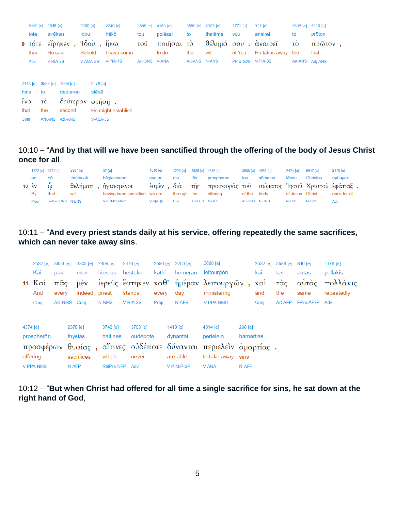|                        |                                                                 | 5119 [e] 2046 [e] |                   | 2400 [e]        | 2240 [e]           |                           | 3588 [e] 4160 [e] | 3588 [e]      | 2307 [e] | 4771 [e]          | $337$ [e]           | 3588 [e] 4413 [e] |         |  |
|------------------------|-----------------------------------------------------------------|-------------------|-------------------|-----------------|--------------------|---------------------------|-------------------|---------------|----------|-------------------|---------------------|-------------------|---------|--|
|                        | tote                                                            | eirēken           |                   | Idou            | hēkō               | tou                       | poiēsai           | to            | thelēma  | sou               | anairei             | to                | prōton  |  |
|                        | $9$ $\overline{1}$ $\overline{0}$ $\overline{1}$ $\overline{e}$ |                   | είρηκεν,          | $7\delta$ où,   | ἥκω                | $\overline{\mathrm{TOU}}$ | ποιῆσαι τὸ        |               |          |                   | θέλημά σου. άναιρεῖ | τò                | πρῶτον, |  |
|                        | then                                                            | He said           |                   | <b>Behold</b>   | I have come        | ÷.                        | to do             | the           | will     | of You            | He takes away the   |                   | first   |  |
|                        | Adv                                                             | V-RIA-3S          |                   | V-AMA-2S        | V-PIA-1S           | Art-GNS V-ANA             |                   | Art-ANS N-ANS |          | PPro-G2S V-PIA-3S |                     | Art-ANS Adj-ANS   |         |  |
|                        |                                                                 |                   |                   |                 |                    |                           |                   |               |          |                   |                     |                   |         |  |
|                        |                                                                 |                   |                   |                 |                    |                           |                   |               |          |                   |                     |                   |         |  |
|                        | 2443 [e]                                                        |                   | 3588 [e] 1208 [e] | 2476 [e]        |                    |                           |                   |               |          |                   |                     |                   |         |  |
| hina                   |                                                                 | to                | deuteron          | stēsē           |                    |                           |                   |               |          |                   |                     |                   |         |  |
| $\tilde{i} \nu \alpha$ |                                                                 | τò                |                   | δεύτερον στήση. |                    |                           |                   |               |          |                   |                     |                   |         |  |
| that                   |                                                                 | the               | second            |                 | He might establish |                           |                   |               |          |                   |                     |                   |         |  |
| Conj                   |                                                                 |                   | Art-ANS Adj-ANS   | V-ASA-3S        |                    |                           |                   |               |          |                   |                     |                   |         |  |

10:10 – "**And by that will we have been sanctified through the offering of the body of Jesus Christ once for all**.

|                                 | 1722 [e] 3739 [e] | 2307 [e]  | 37 [e]                        | $1510$ $\text{[e]}$ |             |               | 1223 [e] 3588 [e] 4376 [e]                                 |               | 3588 [e] 4983 [e] | 2424 [e]        | 5547 [e] | 2178 [e]     |
|---------------------------------|-------------------|-----------|-------------------------------|---------------------|-------------|---------------|------------------------------------------------------------|---------------|-------------------|-----------------|----------|--------------|
| en                              | hō                | thelēmati | hēgiasmenoi                   | esmen               | dia         | tēs           | prosphoras                                                 | tou           | sōmatos           | lēsou           | Christou | ephapax      |
| 10 $\epsilon$ v $\ddot{\omega}$ |                   |           | θελήματι, ηγιασμένοι          |                     |             |               | έσμεν, διά τῆς προσφορᾶς τοῦ σώματος Ἰησοῦ Χριστοῦ ἐφάπαξ. |               |                   |                 |          |              |
| By                              | that              | will      | having been sanctified we are |                     | through the |               | offerina                                                   | of the body   |                   | of Jesus Christ |          | once for all |
| Prep                            | RelPro-DNS N-DNS  |           | V-RPM/P-NMP                   | $V-PIA-1P$          | Prep        | Art-GFS N-GFS |                                                            | Art-GNS N-GNS |                   | N-GMS           | N-GMS    | Adv          |

10:11 – "**And every priest stands daily at his service, offering repeatedly the same sacrifices, which can never take away sins**.

| 2532 [e]                           | 3956 [e]     | 3303 [e]                          | 2409 [e]                      | 2476 [e]                      |       | 2596 [e] 2250 [e]                  | 3008 [e]                                                                                                 |                                | 2532 [e]   | 3588 [e] 846 [e] |               | 4178 [e]               |
|------------------------------------|--------------|-----------------------------------|-------------------------------|-------------------------------|-------|------------------------------------|----------------------------------------------------------------------------------------------------------|--------------------------------|------------|------------------|---------------|------------------------|
| Kai                                | pas          | men                               | hiereus                       | hestēken                      | kath' | hēmeran                            | leitourgōn                                                                                               |                                | kai        | tas              | autas         | pollakis               |
| 11 $K\alpha i$<br>And              | πᾶς<br>every | $\mu$ <sub>EV</sub><br>indeed     | priest                        | stands                        | every | dav                                | ίερεὺς ἔστηκεν καθ' ἡμέραν λειτουργῶν<br>ministering                                                     |                                | καὶ<br>and | τὰς<br>the       | αὐτὰς<br>same | πολλάκις<br>repeatedly |
| Conj                               |              | Adj-NMS Conj                      | N-NMS                         | V-RIA-3S                      | Prep  | N-AFS                              | <b>V-PPA-NMS</b>                                                                                         |                                | Conj       | Art-AFP          | PPro-AF3P Adv |                        |
| 4374 [e]<br>prospherōn<br>offering |              | 2378 [e]<br>thysias<br>sacrifices | 3748 [e]<br>haitines<br>which | 3763 [e]<br>oudepote<br>never |       | 1410 $[e]$<br>dvnantai<br>are able | 4014 [e]<br>perielein<br>προσφέρων θυσίας, αΐτινες ούδέποτε δύνανται περιελεΐν αμαρτίας.<br>to take away | $266$ [e]<br>hamartias<br>sins |            |                  |               |                        |
| <b>V-PPA-NMS</b>                   |              | N-AFP                             | <b>RelPro-NFP</b>             | Adv                           |       | V-PIM/P-3P                         | <b>V-ANA</b>                                                                                             | N-AFP                          |            |                  |               |                        |

10:12 – "**But when Christ had offered for all time a single sacrifice for sins, he sat down at the right hand of God**,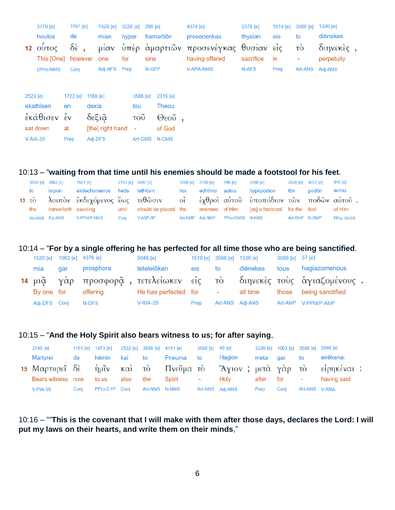|          | 3778 [e]              | 1161 [e]               |              | 1520 [e] 5228 [e] 266 [e] |           | 4374 [e]                                       | 2378 [e]  |      | 1519 [e] 3588 [e] | 1336 [e]          |  |
|----------|-----------------------|------------------------|--------------|---------------------------|-----------|------------------------------------------------|-----------|------|-------------------|-------------------|--|
|          | houtos                | de                     | mian         | hyper                     | hamartiōn | prosenenkas                                    | thysian   | eis  | to                | diēnekes          |  |
|          | 12 $\delta$ υντος δέ, |                        |              |                           |           | μίαν ὑπὲρ ἁμαρτιῶν προσενέγκας θυσίαν εἰς - τὸ |           |      |                   | $\delta$ ιηνεκές, |  |
|          |                       | This [One] however one |              | for                       | sins      | having offered                                 | sacrifice | in   | ٠                 | perpetuity        |  |
|          | DPro-NMS              | Conj                   | Adj-AFS Prep |                           | N-GFP     | <b>V-APA-NMS</b>                               | N-AFS     | Prep |                   | Art-ANS Adj-ANS   |  |
|          |                       |                        |              |                           |           |                                                |           |      |                   |                   |  |
| 2523 [e] |                       | 1188 [e]<br>1722 [e]   |              | 3588 [e]                  | 2316 [e]  |                                                |           |      |                   |                   |  |

| ekathisen   | en   | dexia              | tou           | Theou  |  |
|-------------|------|--------------------|---------------|--------|--|
| έκάθισεν έν |      | δεξιᾶ              | τοῦ           | Θεοῦ,  |  |
| sat down    | at   | [the] right hand - |               | of God |  |
| V-AIA-3S    | Prep | Adi-DFS            | Art-GMS N-GMS |        |  |

## 10:13 – "**waiting from that time until his enemies should be made a footstool for his feet**.

|     | 3588 [e] 3063 [e] | 1551 [e] 2193 [e] 5087 [e]  |      |                                                                                              |     | 3588 [e] 2190 [e] 846 [e] | 5286 [e]                        | 3588 [e] 4228 [e] |       | 846 [e]   |
|-----|-------------------|-----------------------------|------|----------------------------------------------------------------------------------------------|-----|---------------------------|---------------------------------|-------------------|-------|-----------|
| to  | loipon            | ekdechomenos heōs tethōsin  |      |                                                                                              | hoi | echthroi autou            | hypopodion                      | tōn               | podōn | autou     |
|     |                   |                             |      | 13 το λοιπον εκδεχόμενος έως τεθώσιν οι εχθροί αύτου υποπόδιον των ποδών αύτου.              |     |                           |                                 |                   |       |           |
| the |                   |                             |      | henceforth awaiting buntil should be placed the enemies of Him [as] a footstool for the feet |     |                           |                                 |                   |       | of Him    |
|     |                   | Art-ANS Adj-ANS V-PPM/P-NMS | Coni | $V-ASP-3P$                                                                                   |     |                           | Art-NMP Adj-NMP PPro-GM3S N-NNS | Art-GMP N-GMP     |       | PPro-GM3S |

#### 10:14 – "**For by a single offering he has perfected for all time those who are being sanctified**.

| 1520 [e] 1063 [e] 4376 [e] |     |                     | 5048 [e]                                                                                                                                                                                                                       |      | 1519 [e] 3588 [e] 1336 [e] |                 | 3588 [e] 37 [e] |                                                                     |  |
|----------------------------|-----|---------------------|--------------------------------------------------------------------------------------------------------------------------------------------------------------------------------------------------------------------------------|------|----------------------------|-----------------|-----------------|---------------------------------------------------------------------|--|
| mia                        | dar | prosphora           | teteleiōken                                                                                                                                                                                                                    | eis  | to                         | diēnekes        | tous            | hagiazomenous                                                       |  |
|                            |     |                     |                                                                                                                                                                                                                                |      |                            |                 |                 | 14 μιᾶ γὰρ προσφορᾶ, τετελείωκεν εἰς τὸ διηνεκὲς τοὺς ἁγιαζομένους. |  |
|                            |     | By one for offering | He has perfected for the set of the set of the set of the set of the set of the set of the set of the set of the set of the set of the set of the set of the set of the set of the set of the set of the set of the set of the |      |                            | all time        |                 | those being sanctified                                              |  |
| Adj-DFS Conj               |     | N-DFS               | V-RIA-3S                                                                                                                                                                                                                       | Prep |                            | Art-ANS Adj-ANS |                 | Art-AMP V-PPM/P-AMP                                                 |  |

#### 10:15 – "**And the Holy Spirit also bears witness to us; for after saying**,

| 3140 [e]                                                           |      |               |      |               | 1161 [e] 1473 [e] 2532 [e] 3588 [e] 4151 [e] 3588 [e] 40 [e] |                 |          |             | 3326 [e] 1063 [e] 3588 [e] 2046 [e] |             |  |
|--------------------------------------------------------------------|------|---------------|------|---------------|--------------------------------------------------------------|-----------------|----------|-------------|-------------------------------------|-------------|--|
| Martvrei                                                           | de   | hēmin kai to  |      |               | Pneuma to                                                    | Hagion          | meta gar |             | to                                  | eirēkenai   |  |
| 15 Μαρτυρεῖ δὲ ἡμῖν καὶ τὸ Πνεῦμα τὸ Ἅγιον; μετὰ γὰρ τὸ εἰρηκέναι: |      |               |      |               |                                                              |                 |          |             |                                     |             |  |
| Bears witness now                                                  |      | to us         | also | the           | Spirit -                                                     | Holv            |          | after for - |                                     | having said |  |
| $V-PIA-3S$                                                         | Coni | PPro-D1P Coni |      | Art-NNS N-NNS |                                                              | Art-NNS Adi-NNS | Prep     | Coni        | Art-ANS V-RNA                       |             |  |

10:16 – ""**This is the covenant that I will make with them after those days, declares the Lord: I will put my laws on their hearts, and write them on their minds**,"